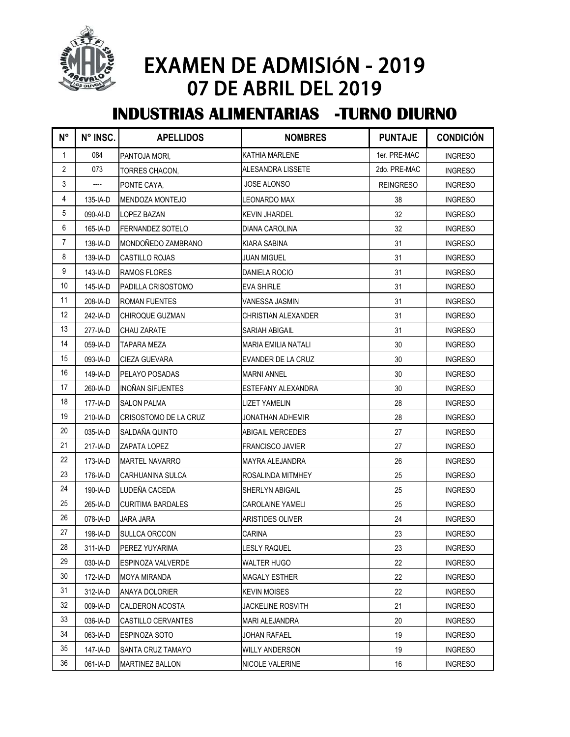

## EXAMEN DE ADMISIÓN - 2019 07 DE ABRIL DEL 2019

## **INDUSTRIAS ALIMENTARIAS -TURNO DIURNO**

| $N^{\circ}$    | N° INSC. | <b>APELLIDOS</b>             | <b>NOMBRES</b>             | <b>PUNTAJE</b>   | <b>CONDICIÓN</b> |
|----------------|----------|------------------------------|----------------------------|------------------|------------------|
| $\mathbf{1}$   | 084      | PANTOJA MORI,                | KATHIA MARLENE             | 1er. PRE-MAC     | <b>INGRESO</b>   |
| $\overline{2}$ | 073      | TORRES CHACON,               | ALESANDRA LISSETE          | 2do. PRE-MAC     | <b>INGRESO</b>   |
| 3              |          | PONTE CAYA,                  | <b>JOSE ALONSO</b>         | <b>REINGRESO</b> | <b>INGRESO</b>   |
| 4              | 135-IA-D | <b>MENDOZA MONTEJO</b>       | <b>LEONARDO MAX</b>        | 38               | <b>INGRESO</b>   |
| 5              | 090-AI-D | <b>LOPEZ BAZAN</b>           | <b>KEVIN JHARDEL</b>       | 32               | <b>INGRESO</b>   |
| 6              | 165-IA-D | <b>FERNANDEZ SOTELO</b>      | DIANA CAROLINA             | 32               | <b>INGRESO</b>   |
| $\overline{7}$ | 138-IA-D | MONDOÑEDO ZAMBRANO           | KIARA SABINA               | 31               | <b>INGRESO</b>   |
| 8              | 139-IA-D | <b>CASTILLO ROJAS</b>        | <b>JUAN MIGUEL</b>         | 31               | <b>INGRESO</b>   |
| 9              | 143-IA-D | <b>RAMOS FLORES</b>          | DANIELA ROCIO              | 31               | <b>INGRESO</b>   |
| 10             | 145-IA-D | PADILLA CRISOSTOMO           | EVA SHIRLE                 | 31               | <b>INGRESO</b>   |
| 11             | 208-IA-D | <b>ROMAN FUENTES</b>         | VANESSA JASMIN             | 31               | <b>INGRESO</b>   |
| 12             | 242-IA-D | CHIROQUE GUZMAN              | CHRISTIAN ALEXANDER        | 31               | <b>INGRESO</b>   |
| 13             | 277-IA-D | <b>CHAU ZARATE</b>           | SARIAH ABIGAIL             | 31               | <b>INGRESO</b>   |
| 14             | 059-IA-D | <b>TAPARA MEZA</b>           | <b>MARIA EMILIA NATALI</b> | 30               | <b>INGRESO</b>   |
| 15             | 093-IA-D | <b>CIEZA GUEVARA</b>         | EVANDER DE LA CRUZ         | 30               | <b>INGRESO</b>   |
| 16             | 149-IA-D | <b>PELAYO POSADAS</b>        | <b>MARNI ANNEL</b>         | 30               | <b>INGRESO</b>   |
| 17             | 260-IA-D | <b>INOÑAN SIFUENTES</b>      | ESTEFANY ALEXANDRA         | 30               | <b>INGRESO</b>   |
| 18             | 177-IA-D | <b>SALON PALMA</b>           | <b>LIZET YAMELIN</b>       | 28               | <b>INGRESO</b>   |
| 19             | 210-IA-D | <b>CRISOSTOMO DE LA CRUZ</b> | <b>JONATHAN ADHEMIR</b>    | 28               | <b>INGRESO</b>   |
| 20             | 035-IA-D | SALDAÑA QUINTO               | <b>ABIGAIL MERCEDES</b>    | 27               | <b>INGRESO</b>   |
| 21             | 217-IA-D | <b>ZAPATA LOPEZ</b>          | <b>FRANCISCO JAVIER</b>    | 27               | <b>INGRESO</b>   |
| 22             | 173-IA-D | <b>MARTEL NAVARRO</b>        | MAYRA ALEJANDRA            | 26               | <b>INGRESO</b>   |
| 23             | 176-IA-D | <b>CARHUANINA SULCA</b>      | ROSALINDA MITMHEY          | 25               | <b>INGRESO</b>   |
| 24             | 190-IA-D | LUDEÑA CACEDA                | SHERLYN ABIGAIL            | 25               | <b>INGRESO</b>   |
| 25             | 265-IA-D | <b>CURITIMA BARDALES</b>     | <b>CAROLAINE YAMELI</b>    | 25               | INGRESO          |
| 26             | 078-IA-D | <b>JARA JARA</b>             | <b>ARISTIDES OLIVER</b>    | 24               | <b>INGRESO</b>   |
| 27             | 198-IA-D | <b>SULLCA ORCCON</b>         | <b>CARINA</b>              | 23               | <b>INGRESO</b>   |
| 28             | 311-IA-D | PEREZ YUYARIMA               | LESLY RAQUEL               | 23               | <b>INGRESO</b>   |
| 29             | 030-IA-D | <b>ESPINOZA VALVERDE</b>     | <b>WALTER HUGO</b>         | 22               | <b>INGRESO</b>   |
| 30             | 172-IA-D | MOYA MIRANDA                 | <b>MAGALY ESTHER</b>       | 22               | <b>INGRESO</b>   |
| 31             | 312-IA-D | <b>ANAYA DOLORIER</b>        | <b>KEVIN MOISES</b>        | 22               | <b>INGRESO</b>   |
| 32             | 009-IA-D | CALDERON ACOSTA              | JACKELINE ROSVITH          | 21               | <b>INGRESO</b>   |
| 33             | 036-IA-D | CASTILLO CERVANTES           | MARI ALEJANDRA             | 20               | <b>INGRESO</b>   |
| 34             | 063-IA-D | <b>ESPINOZA SOTO</b>         | JOHAN RAFAEL               | 19               | <b>INGRESO</b>   |
| 35             | 147-IA-D | SANTA CRUZ TAMAYO            | WILLY ANDERSON             | 19               | <b>INGRESO</b>   |
| 36             | 061-IA-D | <b>MARTINEZ BALLON</b>       | NICOLE VALERINE            | 16               | <b>INGRESO</b>   |